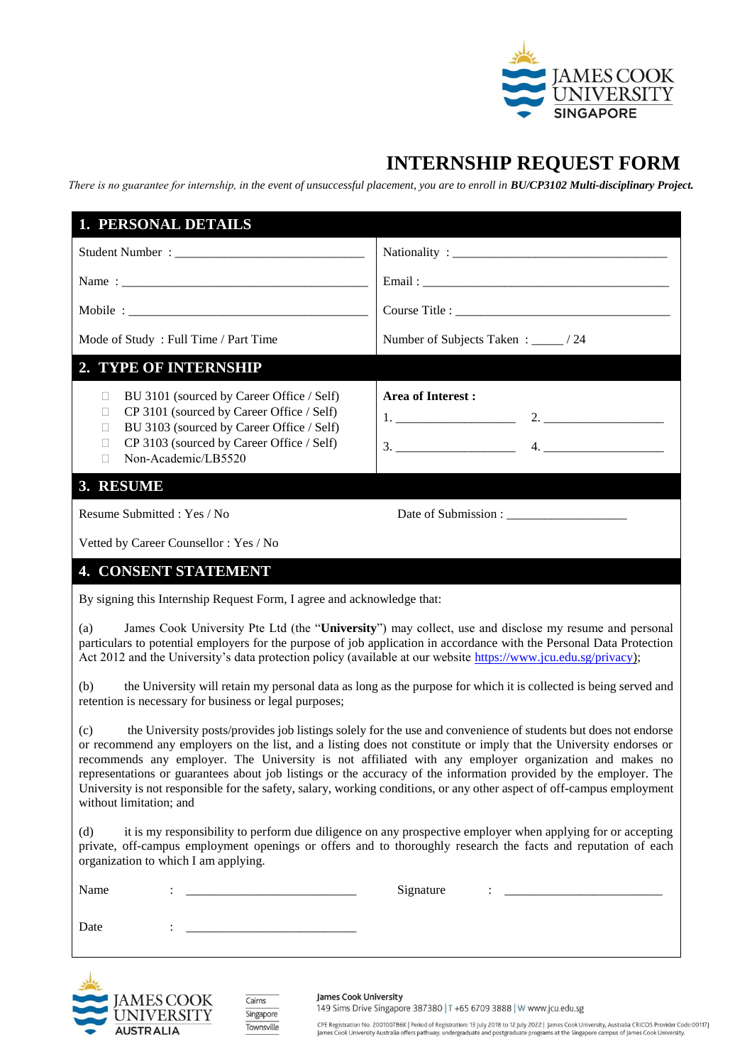

## **INTERNSHIP REQUEST FORM**

*There is no guarantee for internship, in the event of unsuccessful placement, you are to enroll in BU/CP3102 Multi-disciplinary Project.*

| 1. PERSONAL DETAILS                                                                                                                                                                                                                                                                                                                                                                                                                                                                                                                                                                                                            |                                                                                                                                                                                                                                                     |  |
|--------------------------------------------------------------------------------------------------------------------------------------------------------------------------------------------------------------------------------------------------------------------------------------------------------------------------------------------------------------------------------------------------------------------------------------------------------------------------------------------------------------------------------------------------------------------------------------------------------------------------------|-----------------------------------------------------------------------------------------------------------------------------------------------------------------------------------------------------------------------------------------------------|--|
|                                                                                                                                                                                                                                                                                                                                                                                                                                                                                                                                                                                                                                |                                                                                                                                                                                                                                                     |  |
|                                                                                                                                                                                                                                                                                                                                                                                                                                                                                                                                                                                                                                |                                                                                                                                                                                                                                                     |  |
|                                                                                                                                                                                                                                                                                                                                                                                                                                                                                                                                                                                                                                |                                                                                                                                                                                                                                                     |  |
| Mode of Study: Full Time / Part Time                                                                                                                                                                                                                                                                                                                                                                                                                                                                                                                                                                                           | Number of Subjects Taken : _____/ 24                                                                                                                                                                                                                |  |
| 2. TYPE OF INTERNSHIP                                                                                                                                                                                                                                                                                                                                                                                                                                                                                                                                                                                                          |                                                                                                                                                                                                                                                     |  |
| BU 3101 (sourced by Career Office / Self)<br>$\Box$<br>CP 3101 (sourced by Career Office / Self)<br>Ω<br>BU 3103 (sourced by Career Office / Self)<br>$\Box$<br>CP 3103 (sourced by Career Office / Self)<br>$\Box$<br>Non-Academic/LB5520<br>$\Box$                                                                                                                                                                                                                                                                                                                                                                           | Area of Interest:                                                                                                                                                                                                                                   |  |
| 3. RESUME                                                                                                                                                                                                                                                                                                                                                                                                                                                                                                                                                                                                                      |                                                                                                                                                                                                                                                     |  |
| Resume Submitted: Yes / No                                                                                                                                                                                                                                                                                                                                                                                                                                                                                                                                                                                                     |                                                                                                                                                                                                                                                     |  |
| Vetted by Career Counsellor: Yes / No                                                                                                                                                                                                                                                                                                                                                                                                                                                                                                                                                                                          |                                                                                                                                                                                                                                                     |  |
| <b>4. CONSENT STATEMENT</b>                                                                                                                                                                                                                                                                                                                                                                                                                                                                                                                                                                                                    |                                                                                                                                                                                                                                                     |  |
| By signing this Internship Request Form, I agree and acknowledge that:                                                                                                                                                                                                                                                                                                                                                                                                                                                                                                                                                         |                                                                                                                                                                                                                                                     |  |
| James Cook University Pte Ltd (the "University") may collect, use and disclose my resume and personal<br>(a)<br>particulars to potential employers for the purpose of job application in accordance with the Personal Data Protection<br>Act 2012 and the University's data protection policy (available at our website https://www.jcu.edu.sg/privacy);                                                                                                                                                                                                                                                                       |                                                                                                                                                                                                                                                     |  |
| the University will retain my personal data as long as the purpose for which it is collected is being served and<br>(b)<br>retention is necessary for business or legal purposes;                                                                                                                                                                                                                                                                                                                                                                                                                                              |                                                                                                                                                                                                                                                     |  |
| the University posts/provides job listings solely for the use and convenience of students but does not endorse<br>(c)<br>or recommend any employers on the list, and a listing does not constitute or imply that the University endorses or<br>recommends any employer. The University is not affiliated with any employer organization and makes no<br>representations or guarantees about job listings or the accuracy of the information provided by the employer. The<br>University is not responsible for the safety, salary, working conditions, or any other aspect of off-campus employment<br>without limitation; and |                                                                                                                                                                                                                                                     |  |
| it is my responsibility to perform due diligence on any prospective employer when applying for or accepting<br>(d)<br>private, off-campus employment openings or offers and to thoroughly research the facts and reputation of each<br>organization to which I am applying.                                                                                                                                                                                                                                                                                                                                                    |                                                                                                                                                                                                                                                     |  |
| Name                                                                                                                                                                                                                                                                                                                                                                                                                                                                                                                                                                                                                           | Signature<br>$\ddot{\phantom{a}}$ . The contract of the contract of the contract of the contract of the contract of the contract of the contract of the contract of the contract of the contract of the contract of the contract of the contract of |  |
| Date<br><u> 1990 - Johann Harry Harry Harry Harry Harry Harry Harry Harry Harry Harry Harry Harry Harry Harry Harry Harry</u>                                                                                                                                                                                                                                                                                                                                                                                                                                                                                                  |                                                                                                                                                                                                                                                     |  |



 $Cairns$ Singapore Townsville James Cook University

149 Sims Drive Singapore 387380 | T +65 6709 3888 | W www.jcu.edu.sg

CPE Registration No. 200100786K | Period of Registration: 13 July 2018 to 12 July 2022 | James Cook University, Australia CRICOS Provider Code:00117J<br>James Cook University Australia offers pathway, undergraduate and postgr